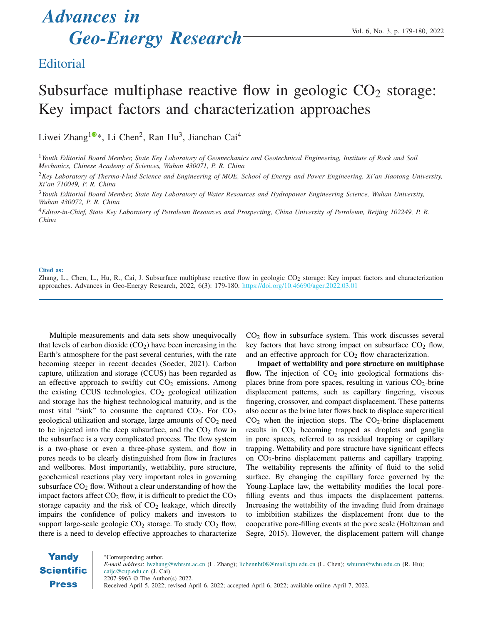# *Advances in* Geo-Energy Research Vol. 6, No. 3, p. 179-180, 2022

### **Editorial**

## Subsurface multiphase reactive flow in geologic  $CO<sub>2</sub>$  storage: Key impact factors and characterization approaches

Liwei Zhang<sup>[1](https://orcid.org/0000-0002-1015-5132)0</sup>\*, Li Chen<sup>2</sup>, Ran Hu<sup>3</sup>, Jianchao Cai<sup>4</sup>

<sup>1</sup>*Youth Editorial Board Member, State Key Laboratory of Geomechanics and Geotechnical Engineering, Institute of Rock and Soil Mechanics, Chinese Academy of Sciences, Wuhan 430071, P. R. China*

<sup>2</sup>*Key Laboratory of Thermo-Fluid Science and Engineering of MOE, School of Energy and Power Engineering, Xi'an Jiaotong University, Xi'an 710049, P. R. China*

<sup>3</sup>*Youth Editorial Board Member, State Key Laboratory of Water Resources and Hydropower Engineering Science, Wuhan University, Wuhan 430072, P. R. China*

<sup>4</sup>*Editor-in-Chief, State Key Laboratory of Petroleum Resources and Prospecting, China University of Petroleum, Beijing 102249, P. R. China*

#### Cited as:

Zhang, L., Chen, L., Hu, R., Cai, J. Subsurface multiphase reactive flow in geologic  $CO_2$  storage: Key impact factors and characterization approaches. Advances in Geo-Energy Research, 2022, 6(3): 179-180. <https://doi.org/10.46690/ager.2022.03.01>

Multiple measurements and data sets show unequivocally that levels of carbon dioxide  $(CO<sub>2</sub>)$  have been increasing in the Earth's atmosphere for the past several centuries, with the rate becoming steeper in recent decades (Soeder, 2021). Carbon capture, utilization and storage (CCUS) has been regarded as an effective approach to swiftly cut  $CO<sub>2</sub>$  emissions. Among the existing CCUS technologies,  $CO<sub>2</sub>$  geological utilization and storage has the highest technological maturity, and is the most vital "sink" to consume the captured  $CO<sub>2</sub>$ . For  $CO<sub>2</sub>$ geological utilization and storage, large amounts of  $CO<sub>2</sub>$  need to be injected into the deep subsurface, and the  $CO<sub>2</sub>$  flow in the subsurface is a very complicated process. The flow system is a two-phase or even a three-phase system, and flow in pores needs to be clearly distinguished from flow in fractures and wellbores. Most importantly, wettability, pore structure, geochemical reactions play very important roles in governing subsurface  $CO<sub>2</sub>$  flow. Without a clear understanding of how the impact factors affect  $CO_2$  flow, it is difficult to predict the  $CO_2$ storage capacity and the risk of  $CO<sub>2</sub>$  leakage, which directly impairs the confidence of policy makers and investors to support large-scale geologic  $CO<sub>2</sub>$  storage. To study  $CO<sub>2</sub>$  flow, there is a need to develop effective approaches to characterize

 $CO<sub>2</sub>$  flow in subsurface system. This work discusses several key factors that have strong impact on subsurface  $CO<sub>2</sub>$  flow, and an effective approach for  $CO<sub>2</sub>$  flow characterization.

Impact of wettability and pore structure on multiphase flow. The injection of  $CO<sub>2</sub>$  into geological formations displaces brine from pore spaces, resulting in various  $CO<sub>2</sub>$ -brine displacement patterns, such as capillary fingering, viscous fingering, crossover, and compact displacement. These patterns also occur as the brine later flows back to displace supercritical  $CO<sub>2</sub>$  when the injection stops. The  $CO<sub>2</sub>$ -brine displacement results in  $CO<sub>2</sub>$  becoming trapped as droplets and ganglia in pore spaces, referred to as residual trapping or capillary trapping. Wettability and pore structure have significant effects on CO2-brine displacement patterns and capillary trapping. The wettability represents the affinity of fluid to the solid surface. By changing the capillary force governed by the Young-Laplace law, the wettability modifies the local porefilling events and thus impacts the displacement patterns. Increasing the wettability of the invading fluid from drainage to imbibition stabilizes the displacement front due to the cooperative pore-filling events at the pore scale (Holtzman and Segre, 2015). However, the displacement pattern will change

**Yandy** <sup>∗</sup>Corresponding author. *E-mail address*: lwzhang@whrsm.ac.cn (L. Zhang); lichennht08@mail.xjtu.edu.cn (L. Chen); whuran@whu.edu.cn (R. Hu); **Scientific** caijc@cup.edu.cn (J. Cai). 2207-9963 © The Author(s) 2022. **Press** Received April 5, 2022; revised April 6, 2022; accepted April 6, 2022; available online April 7, 2022.